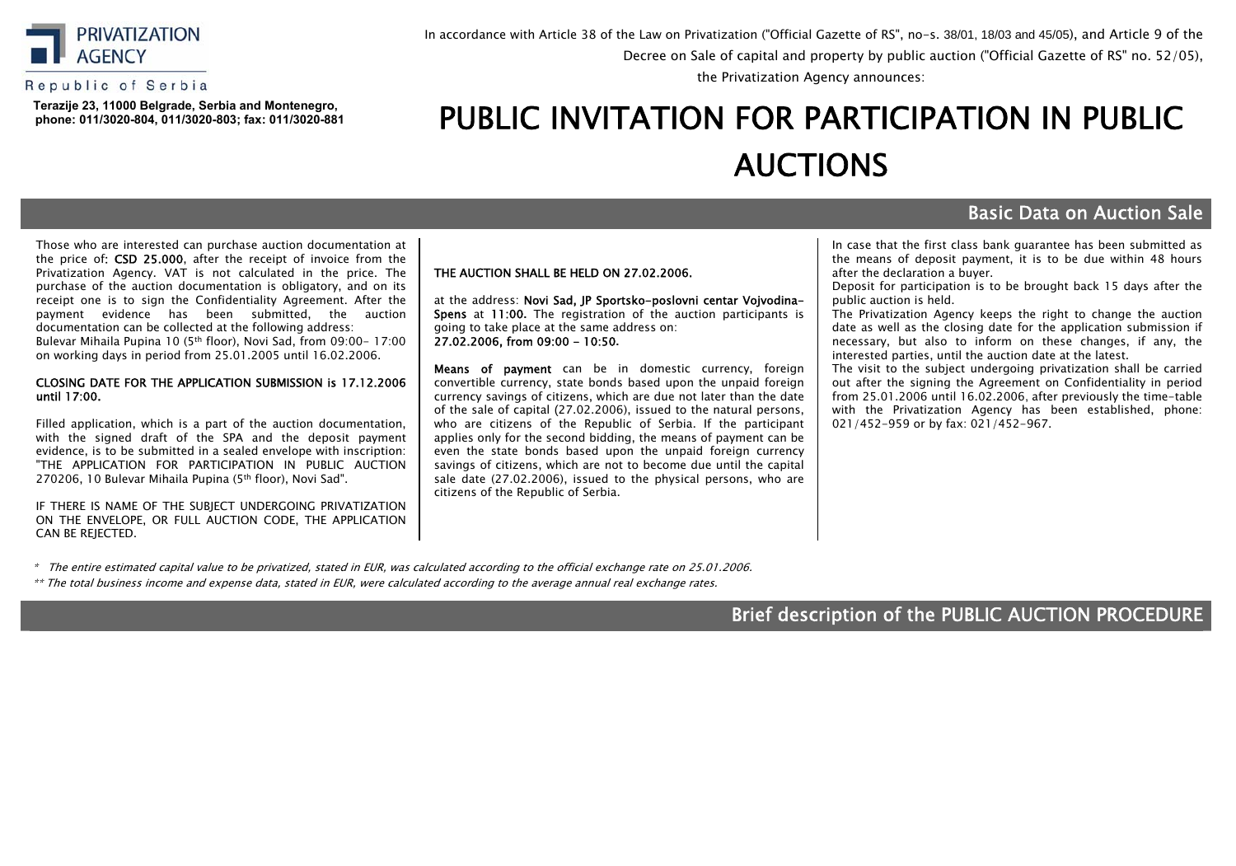

#### Republic of Serbia

**Теrazije 23, 11000 Belgrade, Serbia and Montenegro, phone: 011/3020-804, 011/3020-803; fax: 011/3020-881** In accordance with Article 38 of the Law on Privatization ("Official Gazette of RS", no-s. 38/01, 18/03 and 45/05), and Article 9 of the Decree оn Sale of capital and property by public auction ("Official Gazette of RS" no. 52/05),

the Privatization Agency announces:

# PUBLIC INVITATION FOR PARTICIPATION IN PUBLIC АUCTIONS

## Basic Data on Auction Sale

Those who are interested can purchase auction documentation at the price of: CSD 25.000, after the receipt of invoice from the Privatization Agency. VAT is not calculated in the price. The purchase of the auction documentation is obligatory, аnd on its receipt one is to sign the Confidentiality Agreement. After the payment evidence has been submitted, the auction documentation can be collected at the following address: Bulevar Mihaila Pupina 10 (5th floor), Novi Sad, from 09:00- 17:00

on working days in period from 25.01.2005 until 16.02.2006.

#### CLOSING DATE FOR THE APPLICATION SUBMISSION is 17.12.2006 until 17:00.

Filled application, which is a part of the auction documentation, with the signed draft of the SPA and the deposit payment evidence, is to be submitted in a sealed envelope with inscription: "THE APPLICATION FOR PARTICIPATION IN PUBLIC AUCTION 270206, 10 Bulevar Mihaila Pupina (5th floor), Novi Sad".

IF THERE IS NAME OF THE SUBJECT UNDERGOING PRIVATIZATION ON THE ENVELOPE, OR FULL AUCTION CODE, THE APPLICATION CAN BE REJECTED.

#### THE AUCTION SHALL BE HELD ON 27.02.2006.

at the address: Novi Sad, JP Sportsko-poslovni centar Vojvodina-Spens at 11:00**.** The registration of the auction participants is going to take place at the same address on: 27.02.2006, from 09:00 - 10:50**.**

Means of payment can be in domestic currency, foreign convertible currency, state bonds based upon the unpaid foreign currency savings of citizens, which are due not later than the date of the sale of capital (27.02.2006), issued to the natural persons, who are citizens of the Republic of Serbia. If the participant applies only for the second bidding, the means of payment can be even the state bonds based upon the unpaid foreign currency savings of citizens, which are not to become due until the capital sale date (27.02.2006), issued to the physical persons, who are citizens of the Republic of Serbia.

In case that the first class bank guarantee has been submitted as the means of deposit payment, it is to be due within 48 hours after the declaration a buyer.

Deposit for participation is to be brought back 15 days after the public auction is held.

The Privatization Agency keeps the right to change the auction date as well as the closing date for the application submission if necessary, but also to inform on these changes, if any, the interested parties, until the auction date at the latest.

The visit to the subject undergoing privatization shall be carried out after the signing the Agreement on Confidentiality in period from 25.01.2006 until 16.02.2006, after previously the time-table with the Privatization Agency has been established, phone: 021/452-959 or by fax: 021/452-967.

\* The entire estimated capital value to be privatized, stated in EUR, was calculated according to the official exchange rate on 25.01.2006.

\*\* The total business income and expense data, stated in ЕUR, were calculated according to the average annual real exchange rates.

## Brief description of the PUBLIC AUCTION PROCEDURE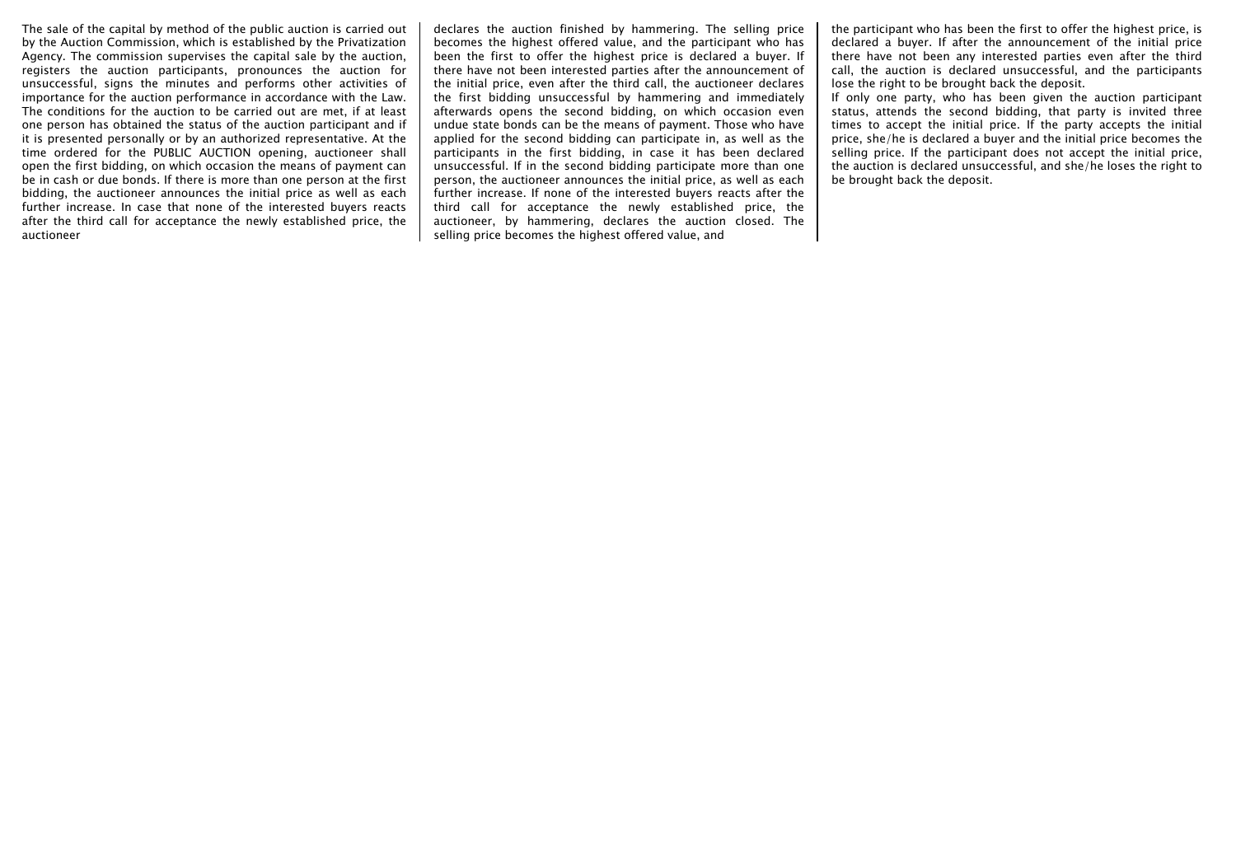The sale of the capital by method of the public auction is carried out by the Auction Commission, which is established by the Privatization Agency. The commission supervises the capital sale by the auction, registers the auction participants, pronounces the auction for unsuccessful, signs the minutes and performs other activities of importance for the auction performance in accordance with the Law. The conditions for the auction to be carried out are met, if at least one person has obtained the status of the auction participant and if it is presented personally or by an authorized representative. At the time ordered for the PUBLIC AUCTION opening, auctioneer shall open the first bidding, on which occasion the means of payment can be in cash or due bonds. If there is more than one person at the first bidding, the auctioneer announces the initial price as well as each further increase. In case that none of the interested buyers reacts after the third call for acceptance the newly established price, the auctioneer

declares the auction finished by hammering. The selling price becomes the highest offered value, and the participant who has been the first to offer the highest price is declared a buyer. If there have not been interested parties after the announcement of the initial price, even after the third call, the auctioneer declares the first bidding unsuccessful by hammering and immediately afterwards opens the second bidding, on which occasion even undue state bonds can be the means of payment. Those who have applied for the second bidding can participate in, as well as the participants in the first bidding, in case it has been declared unsuccessful. If in the second bidding participate more than one person, the auctioneer announces the initial price, as well as each further increase. If none of the interested buyers reacts after the third call for acceptance the newly established price, the auctioneer, by hammering, declares the auction closed. The selling price becomes the highest offered value, and

the participant who has been the first to offer the highest price, is declared a buyer. If after the announcement of the initial price there have not been any interested parties even after the third call, the auction is declared unsuccessful, and the participants lose the right to be brought back the deposit.

If only one party, who has been given the auction participant status, attends the second bidding, that party is invited three times to accept the initial price. If the party accepts the initial price, she/he is declared a buyer and the initial price becomes the selling price. If the participant does not accept the initial price, the auction is declared unsuccessful, and she/he loses the right to be brought back the deposit.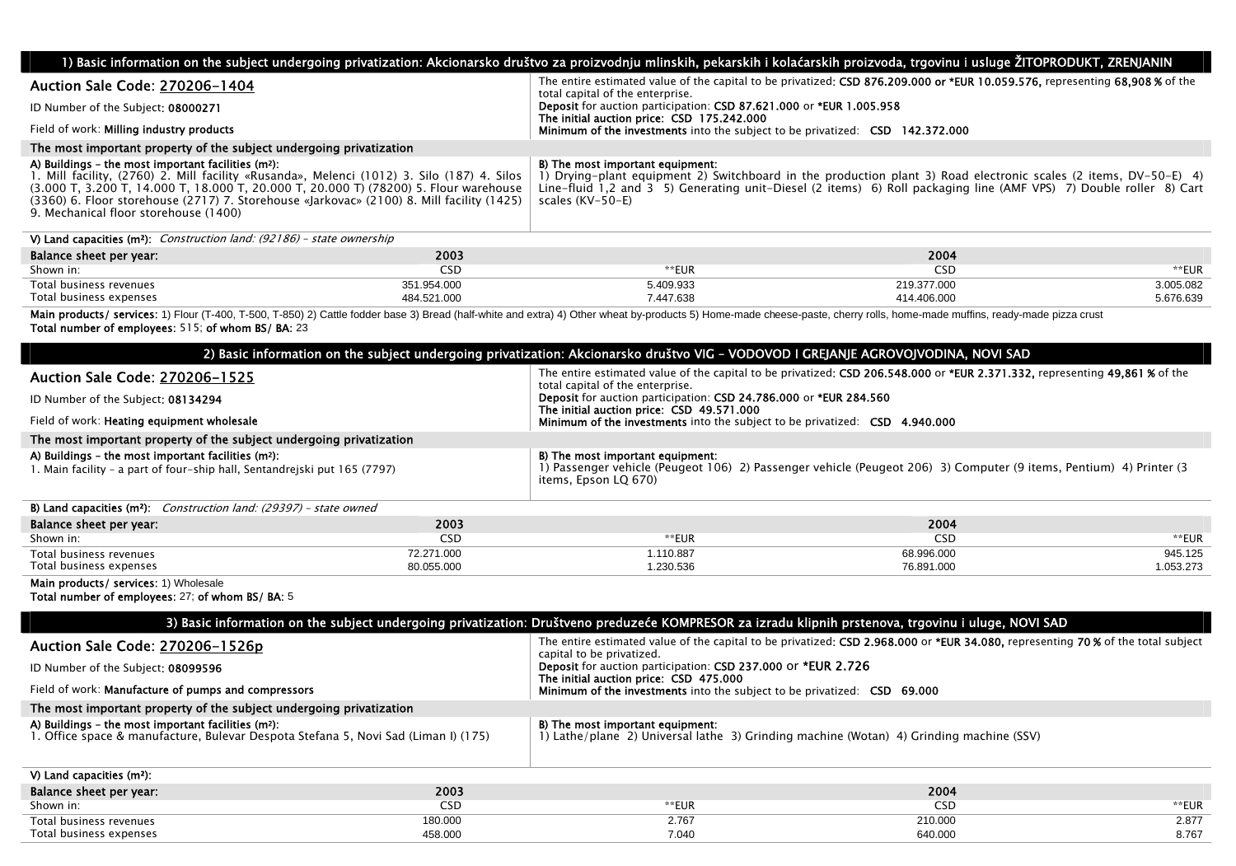|                                                                                                                                                                                                                                                                                                                                                                                              |             |                                                                                                                                                                                                                                                                                                | 1) Basic information on the subject undergoing privatization: Akcionarsko društvo za proizvodnju mlinskih, pekarskih i kolaćarskih proizvoda, trgovinu i usluge ŽITOPRODUKT, ZRENJANIN |           |
|----------------------------------------------------------------------------------------------------------------------------------------------------------------------------------------------------------------------------------------------------------------------------------------------------------------------------------------------------------------------------------------------|-------------|------------------------------------------------------------------------------------------------------------------------------------------------------------------------------------------------------------------------------------------------------------------------------------------------|----------------------------------------------------------------------------------------------------------------------------------------------------------------------------------------|-----------|
| Auction Sale Code: 270206-1404                                                                                                                                                                                                                                                                                                                                                               |             | The entire estimated value of the capital to be privatized: CSD 876.209.000 or *EUR 10.059.576, representing 68,908 % of the<br>total capital of the enterprise.                                                                                                                               |                                                                                                                                                                                        |           |
| ID Number of the Subject: 08000271                                                                                                                                                                                                                                                                                                                                                           |             | Deposit for auction participation: CSD 87.621.000 or *EUR 1.005.958                                                                                                                                                                                                                            |                                                                                                                                                                                        |           |
| Field of work: Milling industry products                                                                                                                                                                                                                                                                                                                                                     |             | The initial auction price: CSD 175.242.000<br>Minimum of the investments into the subject to be privatized: CSD 142.372.000                                                                                                                                                                    |                                                                                                                                                                                        |           |
| The most important property of the subject undergoing privatization                                                                                                                                                                                                                                                                                                                          |             |                                                                                                                                                                                                                                                                                                |                                                                                                                                                                                        |           |
| A) Buildings – the most important facilities (m <sup>2</sup> ):<br>1. Mill facility, (2760) 2. Mill facility «Rusanda», Melenci (1012) 3. Silo (187) 4. Silos<br>(3.000 T, 3.200 T, 14.000 T, 18.000 T, 20.000 T, 20.000 T) (78200) 5. Flour warehouse<br>(3360) 6. Floor storehouse (2717) 7. Storehouse «Jarkovac» (2100) 8. Mill facility (1425)<br>9. Mechanical floor storehouse (1400) |             | B) The most important equipment:<br>1) Drying-plant equipment 2) Switchboard in the production plant 3) Road electronic scales (2 items, DV-50-E) 4)<br>Line-fluid 1,2 and 3 5) Generating unit-Diesel (2 items) 6) Roll packaging line (AMF VPS) 7) Double roller 8) Cart<br>scales (KV-50-E) |                                                                                                                                                                                        |           |
| V) Land capacities ( $m^2$ ): <i>Construction land: (92186) – state ownership</i>                                                                                                                                                                                                                                                                                                            |             |                                                                                                                                                                                                                                                                                                |                                                                                                                                                                                        |           |
| Balance sheet per year:                                                                                                                                                                                                                                                                                                                                                                      | 2003        |                                                                                                                                                                                                                                                                                                | 2004                                                                                                                                                                                   |           |
| Shown in:                                                                                                                                                                                                                                                                                                                                                                                    | <b>CSD</b>  | **EUR                                                                                                                                                                                                                                                                                          | <b>CSD</b>                                                                                                                                                                             | **EUR     |
| Total business revenues                                                                                                                                                                                                                                                                                                                                                                      | 351.954.000 | 5.409.933                                                                                                                                                                                                                                                                                      | 219.377.000                                                                                                                                                                            | 3.005.082 |
| Total business expenses                                                                                                                                                                                                                                                                                                                                                                      | 484.521.000 | 7.447.638                                                                                                                                                                                                                                                                                      | 414.406.000                                                                                                                                                                            | 5.676.639 |
| Main products/ services: 1) Flour (T-400, T-500, T-850) 2) Cattle fodder base 3) Bread (half-white and extra) 4) Other wheat by-products 5) Home-made cheese-paste, cherry rolls, home-made muffins, ready-made pizza crust<br>Total number of employees: 515; of whom BS/ BA: 23                                                                                                            |             |                                                                                                                                                                                                                                                                                                |                                                                                                                                                                                        |           |
|                                                                                                                                                                                                                                                                                                                                                                                              |             | 2) Basic information on the subject undergoing privatization: Akcionarsko društvo VIG - VODOVOD I GREJANJE AGROVOJVODINA, NOVI SAD                                                                                                                                                             |                                                                                                                                                                                        |           |
|                                                                                                                                                                                                                                                                                                                                                                                              |             |                                                                                                                                                                                                                                                                                                | The entire estimated value of the capital to be privatized: CSD 206 548 000 or *FUR 2 371 332, representing 49 861 % of the                                                            |           |

| <b>Auction Sale Code: 270206-1525</b><br>ID Number of the Subject: 08134294<br>Field of work: <b>Heating equipment wholesale</b>             |            | The entire estimated value of the capital to be privatized: CSD 206.548.000 or *EUR 2.371.332, representing 49.861 % of the<br>total capital of the enterprise.<br>Deposit for auction participation: CSD 24.786.000 or *EUR 284.560<br>The initial auction price: CSD 49.571.000<br><b>Minimum of the investments</b> into the subject to be privatized: <b>CSD 4.940.000</b> |            |           |
|----------------------------------------------------------------------------------------------------------------------------------------------|------------|--------------------------------------------------------------------------------------------------------------------------------------------------------------------------------------------------------------------------------------------------------------------------------------------------------------------------------------------------------------------------------|------------|-----------|
| The most important property of the subject undergoing privatization                                                                          |            |                                                                                                                                                                                                                                                                                                                                                                                |            |           |
| A) Buildings - the most important facilities (m <sup>2</sup> ):<br>1. Main facility - a part of four-ship hall, Sentandreiski put 165 (7797) |            | B) The most important equipment:<br>1) Passenger vehicle (Peugeot 106) 2) Passenger vehicle (Peugeot 206) 3) Computer (9 items, Pentium) 4) Printer (3<br>items, Epson LQ 670)                                                                                                                                                                                                 |            |           |
| <b>B) Land capacities (m<sup>2</sup>):</b> <i>Construction land: (29397) - state owned</i>                                                   |            |                                                                                                                                                                                                                                                                                                                                                                                |            |           |
| Balance sheet per year:                                                                                                                      | 2003       |                                                                                                                                                                                                                                                                                                                                                                                | 2004       |           |
| Shown in:                                                                                                                                    | <b>CSD</b> | **EUR                                                                                                                                                                                                                                                                                                                                                                          | <b>CSD</b> | **EUR     |
| Total business revenues                                                                                                                      | 72.271.000 | 1.110.887                                                                                                                                                                                                                                                                                                                                                                      | 68.996.000 | 945.125   |
| Total business expenses                                                                                                                      | 80.055.000 | 1.230.536                                                                                                                                                                                                                                                                                                                                                                      | 76.891.000 | 1.053.273 |
| $M = 1$ . The contract of $\alpha = 1$ is a set of $\alpha = 1$ and $\alpha = 1$ . The contract of $\alpha = 1$                              |            |                                                                                                                                                                                                                                                                                                                                                                                |            |           |

**Main products/ services:** 1) Wholesale

Total number of employees: 27; of whom BS/ BA: 5

| 3) Basic information on the subject undergoing privatization: Društveno preduzeće KOMPRESOR za izradu klipnih prstenova, trgovinu i uluge, NOVI SAD   |                                                                                                                                                              |  |  |  |
|-------------------------------------------------------------------------------------------------------------------------------------------------------|--------------------------------------------------------------------------------------------------------------------------------------------------------------|--|--|--|
| Auction Sale Code: 270206-1526p                                                                                                                       | The entire estimated value of the capital to be privatized: CSD 2.968.000 or *EUR 34.080, representing 70% of the total subject<br>capital to be privatized. |  |  |  |
| ID Number of the Subject: 08099596                                                                                                                    | Deposit for auction participation: CSD 237.000 or *EUR 2.726                                                                                                 |  |  |  |
| Field of work: Manufacture of pumps and compressors                                                                                                   | The initial auction price: CSD 475.000<br><b>Minimum of the investments</b> into the subject to be privatized: <b>CSD</b> 69.000                             |  |  |  |
| The most important property of the subject undergoing privatization                                                                                   |                                                                                                                                                              |  |  |  |
| A) Buildings - the most important facilities (m <sup>2</sup> ):<br>I. Office space & manufacture, Bulevar Despota Stefana 5, Novi Sad (Liman I) (175) | B) The most important equipment:<br>1) Lathe/plane 2) Universal lathe 3) Grinding machine (Wotan) 4) Grinding machine (SSV)                                  |  |  |  |
| V) Land capacities (m <sup>2</sup> ):                                                                                                                 |                                                                                                                                                              |  |  |  |
| 2003<br>Balance sheet per year:                                                                                                                       | 2004                                                                                                                                                         |  |  |  |

| Balance sheet per year: | 2003                  |              | 2004    |       |
|-------------------------|-----------------------|--------------|---------|-------|
| Shown in:               | $- - -$<br>-51<br>--- | **ELL<br>:∪r | CSD     | ᄂᄓ    |
| Total business revenues | 180.000               | 2.767        | 210.000 | 2.877 |
| Total business expenses | 458.00C               | 7.040        | 640.000 | 8.767 |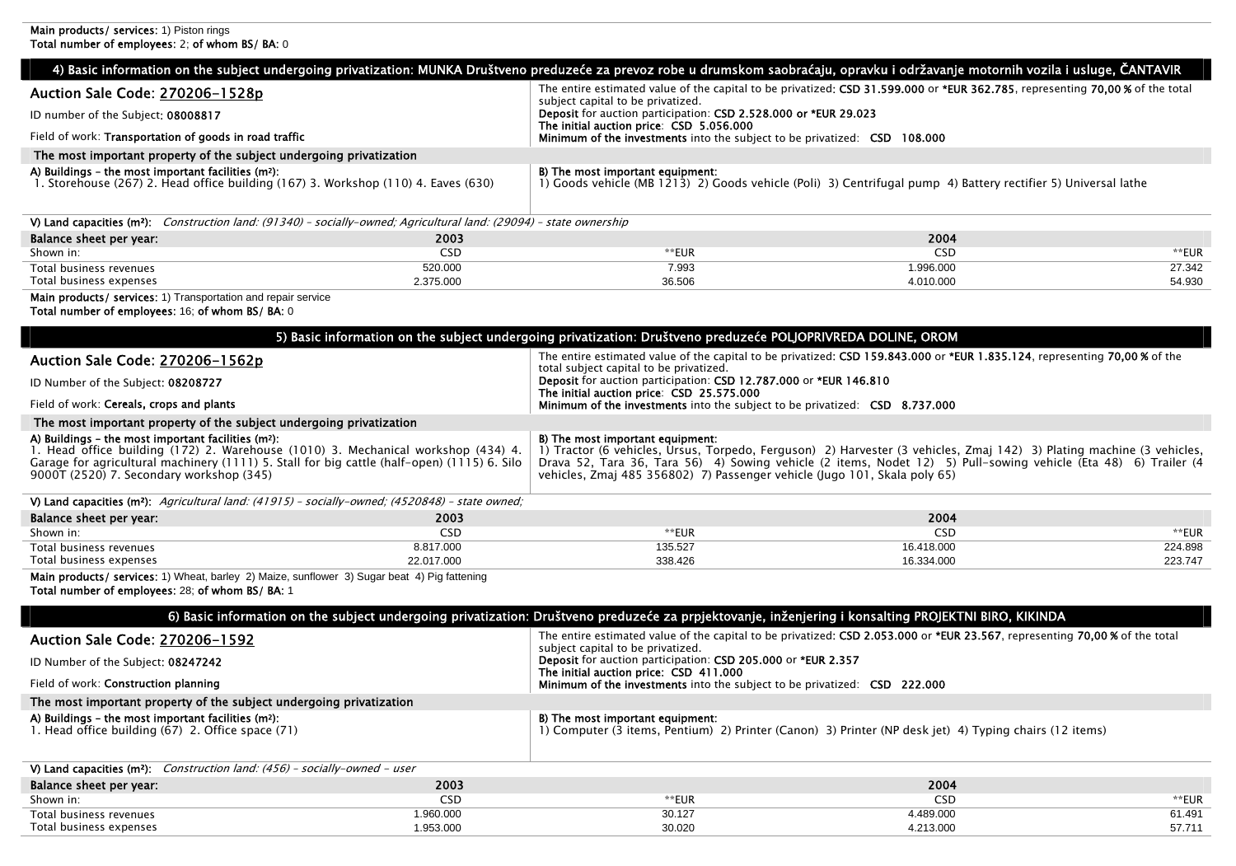| <b>Main products/ services: 1) Piston rings</b><br>Total number of employees: 2; of whom BS/ BA: 0                                                                                                                                                                                              |                         |                                                                                                                                                           |                                                                                                                                                                                                                                          |                  |
|-------------------------------------------------------------------------------------------------------------------------------------------------------------------------------------------------------------------------------------------------------------------------------------------------|-------------------------|-----------------------------------------------------------------------------------------------------------------------------------------------------------|------------------------------------------------------------------------------------------------------------------------------------------------------------------------------------------------------------------------------------------|------------------|
|                                                                                                                                                                                                                                                                                                 |                         |                                                                                                                                                           | 4) Basic information on the subject undergoing privatization: MUNKA Društveno preduzeće za prevoz robe u drumskom saobraćaju, opravku i održavanje motornih vozila i usluge, ČANTAVIR                                                    |                  |
|                                                                                                                                                                                                                                                                                                 |                         |                                                                                                                                                           | The entire estimated value of the capital to be privatized: CSD 31.599.000 or *EUR 362.785, representing 70,00% of the total                                                                                                             |                  |
| Auction Sale Code: 270206-1528p                                                                                                                                                                                                                                                                 |                         | subject capital to be privatized.                                                                                                                         |                                                                                                                                                                                                                                          |                  |
| ID number of the Subject: 08008817                                                                                                                                                                                                                                                              |                         | Deposit for auction participation: CSD 2.528.000 or *EUR 29.023<br>The initial auction price: CSD 5.056.000                                               |                                                                                                                                                                                                                                          |                  |
| Field of work: Transportation of goods in road traffic                                                                                                                                                                                                                                          |                         | <b>Minimum of the investments</b> into the subject to be privatized: CSD 108.000                                                                          |                                                                                                                                                                                                                                          |                  |
| The most important property of the subject undergoing privatization                                                                                                                                                                                                                             |                         |                                                                                                                                                           |                                                                                                                                                                                                                                          |                  |
| A) Buildings - the most important facilities (m <sup>2</sup> ):<br>1. Storehouse (267) 2. Head office building (167) 3. Workshop (110) 4. Eaves (630)                                                                                                                                           |                         | B) The most important equipment:                                                                                                                          | 1) Goods vehicle (MB 1213) 2) Goods vehicle (Poli) 3) Centrifugal pump 4) Battery rectifier 5) Universal lathe                                                                                                                           |                  |
| V) Land capacities (m <sup>2</sup> ); Construction land: (91340) - socially-owned; Agricultural land: (29094) - state ownership                                                                                                                                                                 |                         |                                                                                                                                                           |                                                                                                                                                                                                                                          |                  |
| Balance sheet per year:                                                                                                                                                                                                                                                                         | 2003                    |                                                                                                                                                           | 2004                                                                                                                                                                                                                                     |                  |
| Shown in:                                                                                                                                                                                                                                                                                       | CSD                     | **EUR                                                                                                                                                     | <b>CSD</b>                                                                                                                                                                                                                               | **EUR            |
| Total business revenues<br>Total business expenses                                                                                                                                                                                                                                              | 520.000<br>2.375.000    | 7.993<br>36.506                                                                                                                                           | 1.996.000<br>4.010.000                                                                                                                                                                                                                   | 27.342<br>54.930 |
| Main products/ services: 1) Transportation and repair service                                                                                                                                                                                                                                   |                         |                                                                                                                                                           |                                                                                                                                                                                                                                          |                  |
| Total number of employees: 16; of whom BS/ BA: 0                                                                                                                                                                                                                                                |                         |                                                                                                                                                           |                                                                                                                                                                                                                                          |                  |
|                                                                                                                                                                                                                                                                                                 |                         | 5) Basic information on the subject undergoing privatization: Društveno preduzeće POLJOPRIVREDA DOLINE, OROM                                              |                                                                                                                                                                                                                                          |                  |
| Auction Sale Code: 270206-1562p                                                                                                                                                                                                                                                                 |                         |                                                                                                                                                           | The entire estimated value of the capital to be privatized: CSD 159.843.000 or *EUR 1.835.124, representing 70.00 % of the                                                                                                               |                  |
| ID Number of the Subject: 08208727                                                                                                                                                                                                                                                              |                         | total subject capital to be privatized.<br>Deposit for auction participation: CSD 12.787.000 or *EUR 146.810<br>The initial auction price: CSD 25.575.000 |                                                                                                                                                                                                                                          |                  |
| Field of work: Cereals, crops and plants                                                                                                                                                                                                                                                        |                         | Minimum of the investments into the subject to be privatized: CSD 8.737.000                                                                               |                                                                                                                                                                                                                                          |                  |
| The most important property of the subject undergoing privatization                                                                                                                                                                                                                             |                         |                                                                                                                                                           |                                                                                                                                                                                                                                          |                  |
| A) Buildings - the most important facilities (m <sup>2</sup> ):<br>1. Head office building (172) 2. Warehouse (1010) 3. Mechanical workshop (434) 4.<br>Garage for agricultural machinery (1111) 5. Stall for big cattle (half-open) (1115) 6. Silo<br>9000T (2520) 7. Secondary workshop (345) |                         | B) The most important equipment:<br>vehicles, Zmaj 485 356802) 7) Passenger vehicle (Jugo 101, Skala poly 65)                                             | 1) Tractor (6 vehicles, Ursus, Torpedo, Ferguson) 2) Harvester (3 vehicles, Zmaj 142) 3) Plating machine (3 vehicles,<br>Drava 52, Tara 36, Tara 56) 4) Sowing vehicle (2 items, Nodet 12) 5) Pull-sowing vehicle (Eta 48) 6) Trailer (4 |                  |
| V) Land capacities ( $m^2$ ): Agricultural land: (41915) - socially-owned; (4520848) - state owned;                                                                                                                                                                                             |                         |                                                                                                                                                           |                                                                                                                                                                                                                                          |                  |
| Balance sheet per year:                                                                                                                                                                                                                                                                         | 2003                    |                                                                                                                                                           | 2004                                                                                                                                                                                                                                     |                  |
| Shown in:                                                                                                                                                                                                                                                                                       | <b>CSD</b><br>8.817.000 | **EUR<br>135.527                                                                                                                                          | <b>CSD</b><br>16.418.000                                                                                                                                                                                                                 | **EUR<br>224.898 |
| Total business revenues<br>Total business expenses                                                                                                                                                                                                                                              | 22.017.000              | 338.426                                                                                                                                                   | 16.334.000                                                                                                                                                                                                                               | 223.747          |
| Main products/ services: 1) Wheat, barley 2) Maize, sunflower 3) Sugar beat 4) Pig fattening<br>Total number of employees: 28; of whom BS/ BA: 1                                                                                                                                                |                         |                                                                                                                                                           |                                                                                                                                                                                                                                          |                  |
|                                                                                                                                                                                                                                                                                                 |                         |                                                                                                                                                           | 6) Basic information on the subject undergoing privatization: Društveno preduzeće za prpjektovanje, inženjering i konsalting PROJEKTNI BIRO, KIKINDA                                                                                     |                  |
| Auction Sale Code: 270206-1592                                                                                                                                                                                                                                                                  |                         | subject capital to be privatized.                                                                                                                         | The entire estimated value of the capital to be privatized: CSD 2.053.000 or *EUR 23.567, representing 70,00% of the total                                                                                                               |                  |
| ID Number of the Subject: 08247242                                                                                                                                                                                                                                                              |                         | Deposit for auction participation: CSD 205.000 or *EUR 2.357<br>The initial auction price: CSD 411.000                                                    |                                                                                                                                                                                                                                          |                  |
| Field of work: Construction planning                                                                                                                                                                                                                                                            |                         | Minimum of the investments into the subject to be privatized: CSD 222.000                                                                                 |                                                                                                                                                                                                                                          |                  |
| The most important property of the subject undergoing privatization                                                                                                                                                                                                                             |                         |                                                                                                                                                           |                                                                                                                                                                                                                                          |                  |
| A) Buildings – the most important facilities $(m2)$ :                                                                                                                                                                                                                                           |                         | B) The most important equipment:                                                                                                                          |                                                                                                                                                                                                                                          |                  |

### A) Buildings – the most important facilities (m2):

| $\mathbf{v}$ , $\mathbf{v}$ , and $\mathbf{v}$ , and $\mathbf{v}$ , and $\mathbf{v}$ , and $\mathbf{v}$ , and $\mathbf{v}$ , $\mathbf{v}$ , $\mathbf{v}$ |                                                                                                        |
|----------------------------------------------------------------------------------------------------------------------------------------------------------|--------------------------------------------------------------------------------------------------------|
| 1. Head office building (67) 2. Office space (71)                                                                                                        | 1) Computer (3 items, Pentium) 2) Printer (Canon) 3) Printer (NP desk jet) 4) Typing chairs (12 items) |
|                                                                                                                                                          |                                                                                                        |

| V) Land capacities ( $m^2$ ): Construction land: (456) - socially-owned - user |          |        |           |        |  |
|--------------------------------------------------------------------------------|----------|--------|-----------|--------|--|
| Balance sheet per year:                                                        | 2003     |        | 2004      |        |  |
| Shown in:                                                                      | CSE      | **EUF  | بادر      | **EUR  |  |
| Total business revenues                                                        | .960.000 | 30.127 | 1.489.000 | 61.491 |  |
| Total business expenses                                                        | .953.000 | 30.020 | 4.213.000 | 57.711 |  |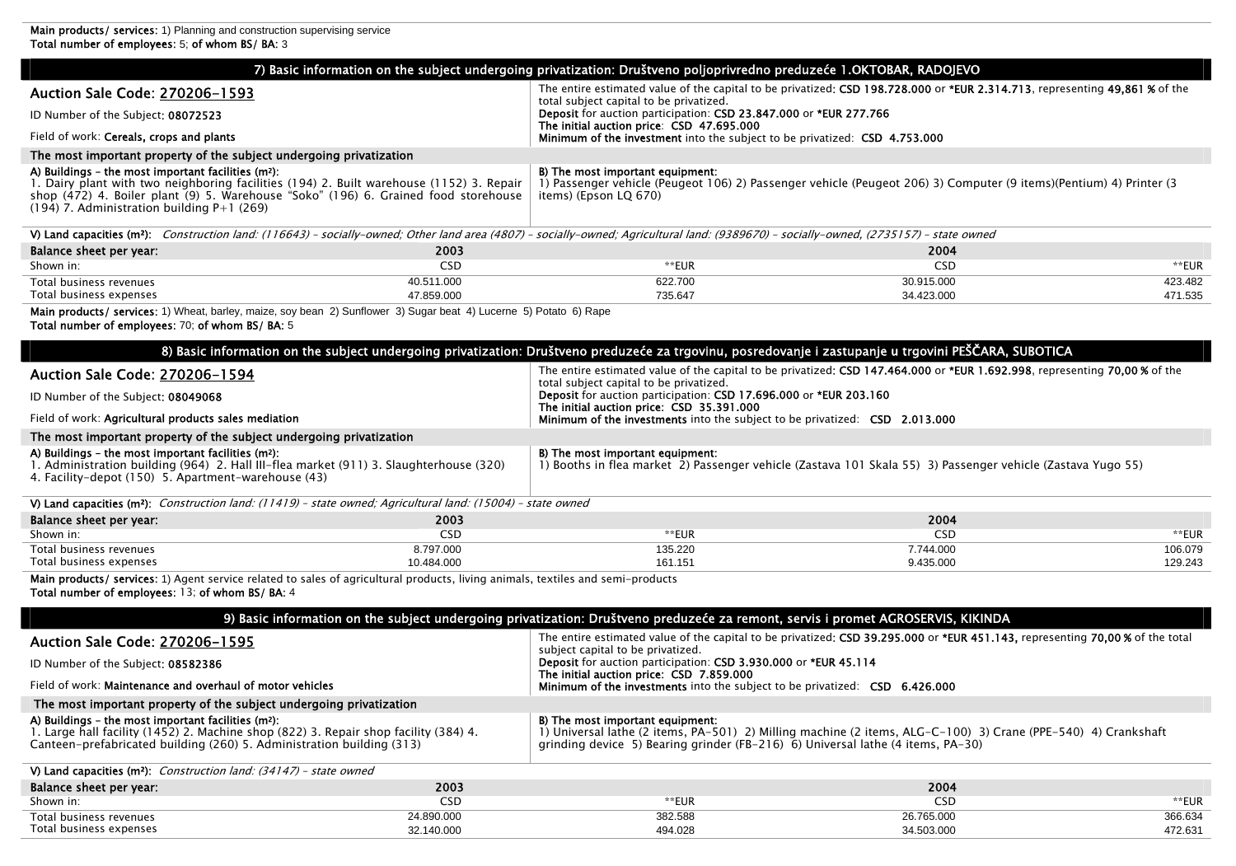Total business expenses

|                                                                                                                                                                                                                                                                                          |                          | 7) Basic information on the subject undergoing privatization: Društveno poljoprivredno preduzeće 1.OKTOBAR, RADOJEVO                                  |                                                                                                                              |                    |  |
|------------------------------------------------------------------------------------------------------------------------------------------------------------------------------------------------------------------------------------------------------------------------------------------|--------------------------|-------------------------------------------------------------------------------------------------------------------------------------------------------|------------------------------------------------------------------------------------------------------------------------------|--------------------|--|
| Auction Sale Code: 270206-1593                                                                                                                                                                                                                                                           |                          | The entire estimated value of the capital to be privatized; CSD 198.728.000 or *EUR 2.314.713, representing 49.861 % of the                           |                                                                                                                              |                    |  |
| ID Number of the Subject: 08072523                                                                                                                                                                                                                                                       |                          | total subject capital to be privatized.<br>Deposit for auction participation: CSD 23.847.000 or *EUR 277.766                                          |                                                                                                                              |                    |  |
| Field of work: Cereals, crops and plants                                                                                                                                                                                                                                                 |                          | The initial auction price: CSD 47.695.000<br>Minimum of the investment into the subject to be privatized: CSD 4.753.000                               |                                                                                                                              |                    |  |
| The most important property of the subject undergoing privatization                                                                                                                                                                                                                      |                          |                                                                                                                                                       |                                                                                                                              |                    |  |
| A) Buildings – the most important facilities $(m2)$ :<br>1. Dairy plant with two neighboring facilities (194) 2. Built warehouse (1152) 3. Repair<br>shop (472) 4. Boiler plant (9) 5. Warehouse "Soko" (196) 6. Grained food storehouse<br>$(194)$ 7. Administration building P+1 (269) |                          | B) The most important equipment:<br>items) (Epson LQ 670)                                                                                             | 1) Passenger vehicle (Peugeot 106) 2) Passenger vehicle (Peugeot 206) 3) Computer (9 items)(Pentium) 4) Printer (3           |                    |  |
| V) Land capacities (m <sup>2</sup> ): Construction land: (116643) - socially-owned; Other land area (4807) - socially-owned; Agricultural land: (9389670) - socially-owned, (2735157) - state owned                                                                                      |                          |                                                                                                                                                       |                                                                                                                              |                    |  |
| Balance sheet per year:                                                                                                                                                                                                                                                                  | 2003                     |                                                                                                                                                       | 2004                                                                                                                         |                    |  |
| Shown in:                                                                                                                                                                                                                                                                                | <b>CSD</b>               | **EUR                                                                                                                                                 | <b>CSD</b>                                                                                                                   | **EUR              |  |
| Total business revenues<br>Total business expenses                                                                                                                                                                                                                                       | 40.511.000<br>47.859.000 | 622.700<br>735.647                                                                                                                                    | 30.915.000<br>34.423.000                                                                                                     | 423.482<br>471.535 |  |
| Main products/ services: 1) Wheat, barley, maize, soy bean 2) Sunflower 3) Sugar beat 4) Lucerne 5) Potato 6) Rape<br>Total number of employees: 70; of whom BS/ BA: 5                                                                                                                   |                          |                                                                                                                                                       |                                                                                                                              |                    |  |
|                                                                                                                                                                                                                                                                                          |                          | 8) Basic information on the subject undergoing privatization: Društveno preduzeće za trgovinu, posredovanje i zastupanje u trgovini PEŠČARA, SUBOTICA |                                                                                                                              |                    |  |
| Auction Sale Code: 270206-1594                                                                                                                                                                                                                                                           |                          | total subject capital to be privatized.                                                                                                               | The entire estimated value of the capital to be privatized; CSD 147.464.000 or *EUR 1.692.998, representing 70.00% of the    |                    |  |
| ID Number of the Subject: 08049068                                                                                                                                                                                                                                                       |                          | Deposit for auction participation: CSD 17.696.000 or *EUR 203.160<br>The initial auction price: CSD 35.391.000                                        |                                                                                                                              |                    |  |
| Field of work: Agricultural products sales mediation                                                                                                                                                                                                                                     |                          | <b>Minimum of the investments</b> into the subject to be privatized: <b>CSD</b> 2.013.000                                                             |                                                                                                                              |                    |  |
| The most important property of the subject undergoing privatization                                                                                                                                                                                                                      |                          |                                                                                                                                                       |                                                                                                                              |                    |  |
| A) Buildings - the most important facilities (m <sup>2</sup> ):<br>1. Administration building (964) 2. Hall III-flea market (911) 3. Slaughterhouse (320)<br>4. Facility-depot (150) 5. Apartment-warehouse (43)                                                                         |                          | B) The most important equipment:                                                                                                                      | 1) Booths in flea market 2) Passenger vehicle (Zastava 101 Skala 55) 3) Passenger vehicle (Zastava Yugo 55)                  |                    |  |
| V) Land capacities (m <sup>2</sup> ): Construction land: (11419) - state owned; Agricultural land: (15004) - state owned                                                                                                                                                                 |                          |                                                                                                                                                       |                                                                                                                              |                    |  |
| Balance sheet per year:                                                                                                                                                                                                                                                                  | 2003                     |                                                                                                                                                       | 2004                                                                                                                         |                    |  |
| Shown in:                                                                                                                                                                                                                                                                                | <b>CSD</b>               | **EUR                                                                                                                                                 | <b>CSD</b>                                                                                                                   | **EUR              |  |
| Total business revenues<br>Total business expenses                                                                                                                                                                                                                                       | 8.797.000<br>10.484.000  | 135.220<br>161.151                                                                                                                                    | 7.744.000<br>9.435.000                                                                                                       | 106.079<br>129.243 |  |
| Main products/ services: 1) Agent service related to sales of agricultural products, living animals, textiles and semi-products<br>Total number of employees: 13: of whom BS/ BA: 4                                                                                                      |                          |                                                                                                                                                       |                                                                                                                              |                    |  |
|                                                                                                                                                                                                                                                                                          |                          | 9) Basic information on the subject undergoing privatization: Društveno preduzeće za remont, servis i promet AGROSERVIS, KIKINDA                      |                                                                                                                              |                    |  |
| Auction Sale Code: 270206-1595                                                                                                                                                                                                                                                           |                          | subject capital to be privatized.                                                                                                                     | The entire estimated value of the capital to be privatized; CSD 39.295.000 or *EUR 451.143, representing 70.00% of the total |                    |  |
| ID Number of the Subject: 08582386                                                                                                                                                                                                                                                       |                          | Deposit for auction participation: CSD 3.930.000 or *EUR 45.114<br>The initial auction price: CSD 7.859.000                                           |                                                                                                                              |                    |  |
| Field of work: Maintenance and overhaul of motor vehicles                                                                                                                                                                                                                                |                          | <b>Minimum of the investments</b> into the subject to be privatized: <b>CSD</b> 6.426.000                                                             |                                                                                                                              |                    |  |
| The most important property of the subject undergoing privatization                                                                                                                                                                                                                      |                          |                                                                                                                                                       |                                                                                                                              |                    |  |
| A) Buildings - the most important facilities (m <sup>2</sup> ):<br>1. Large hall facility (1452) 2. Machine shop (822) 3. Repair shop facility (384) 4.<br>Canteen-prefabricated building (260) 5. Administration building (313)                                                         |                          | B) The most important equipment:<br>grinding device 5) Bearing grinder (FB-216) 6) Universal lathe (4 items, PA-30)                                   | 1) Universal lathe (2 items, PA-501) 2) Milling machine (2 items, ALG-C-100) 3) Crane (PPE-540) 4) Crankshaft                |                    |  |
| V) Land capacities ( $m^2$ ): Construction land: (34147) - state owned                                                                                                                                                                                                                   |                          |                                                                                                                                                       |                                                                                                                              |                    |  |
| Balance sheet per year:                                                                                                                                                                                                                                                                  | 2003                     |                                                                                                                                                       | 2004                                                                                                                         |                    |  |
| Shown in:                                                                                                                                                                                                                                                                                | CSD                      | **EUR                                                                                                                                                 | <b>CSD</b>                                                                                                                   | **EUR              |  |
| Total business revenues                                                                                                                                                                                                                                                                  | 24.890.000               | 382.588                                                                                                                                               | 26.765.000                                                                                                                   | 366.634            |  |

494.028

34.503.000

472.631

32.140.000